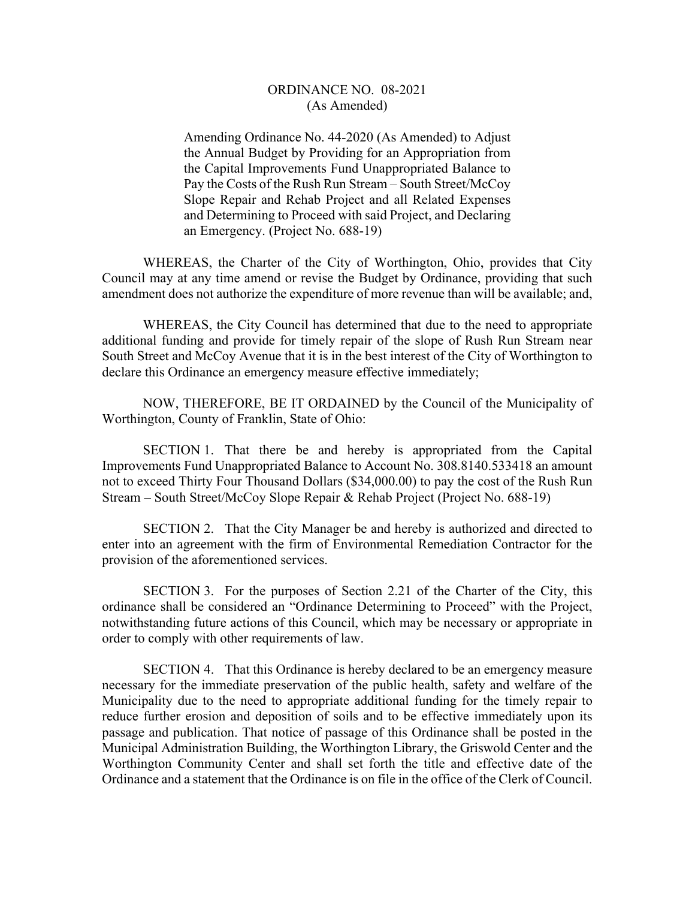## ORDINANCE NO. 08-2021 (As Amended)

Amending Ordinance No. 44-2020 (As Amended) to Adjust the Annual Budget by Providing for an Appropriation from the Capital Improvements Fund Unappropriated Balance to Pay the Costs of the Rush Run Stream – South Street/McCoy Slope Repair and Rehab Project and all Related Expenses and Determining to Proceed with said Project, and Declaring an Emergency. (Project No. 688-19)

 WHEREAS, the Charter of the City of Worthington, Ohio, provides that City Council may at any time amend or revise the Budget by Ordinance, providing that such amendment does not authorize the expenditure of more revenue than will be available; and,

WHEREAS, the City Council has determined that due to the need to appropriate additional funding and provide for timely repair of the slope of Rush Run Stream near South Street and McCoy Avenue that it is in the best interest of the City of Worthington to declare this Ordinance an emergency measure effective immediately;

 NOW, THEREFORE, BE IT ORDAINED by the Council of the Municipality of Worthington, County of Franklin, State of Ohio:

 SECTION 1. That there be and hereby is appropriated from the Capital Improvements Fund Unappropriated Balance to Account No. 308.8140.533418 an amount not to exceed Thirty Four Thousand Dollars (\$34,000.00) to pay the cost of the Rush Run Stream – South Street/McCoy Slope Repair & Rehab Project (Project No. 688-19)

SECTION 2. That the City Manager be and hereby is authorized and directed to enter into an agreement with the firm of Environmental Remediation Contractor for the provision of the aforementioned services.

 SECTION 3. For the purposes of Section 2.21 of the Charter of the City, this ordinance shall be considered an "Ordinance Determining to Proceed" with the Project, notwithstanding future actions of this Council, which may be necessary or appropriate in order to comply with other requirements of law.

SECTION 4. That this Ordinance is hereby declared to be an emergency measure necessary for the immediate preservation of the public health, safety and welfare of the Municipality due to the need to appropriate additional funding for the timely repair to reduce further erosion and deposition of soils and to be effective immediately upon its passage and publication. That notice of passage of this Ordinance shall be posted in the Municipal Administration Building, the Worthington Library, the Griswold Center and the Worthington Community Center and shall set forth the title and effective date of the Ordinance and a statement that the Ordinance is on file in the office of the Clerk of Council.